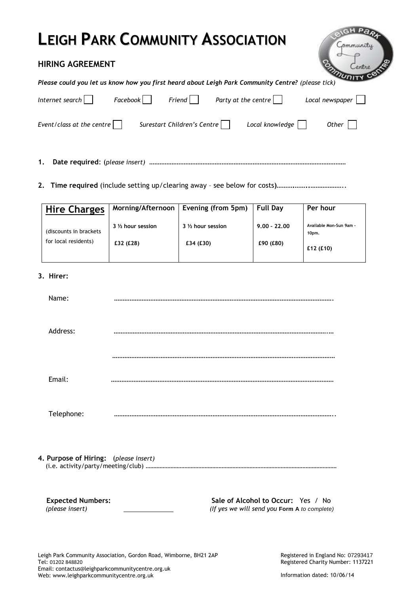# **LEIGH PARK COMMUNITY ASSOCIATION**

# **HIRING AGREEMENT**

*Please could you let us know how you first heard about Leigh Park Community Centre? (please tick)*

| Internet search $\vert \ \vert$   | Facebook | Friend                      | Party at the centre $\vert \ \ \vert$ | Local newspaper |  |
|-----------------------------------|----------|-----------------------------|---------------------------------------|-----------------|--|
| Event/class at the centre $\vert$ |          | Surestart Children's Centre | Local knowledge                       | Other           |  |

**1. Date required**: (*please insert)* ……………………………………………………………………………………………………

**2. Time required** (include setting up/clearing away – see below for costs**)……….……..**………………..

| <b>Hire Charges</b>     | Morning/Afternoon  | Evening (from 5pm) | <b>Full Day</b> | Per hour                         |
|-------------------------|--------------------|--------------------|-----------------|----------------------------------|
| (discounts in brackets) | 3 1/2 hour session | 3 1/2 hour session | $9.00 - 22.00$  | Available Mon-Sun 9am -<br>10pm. |
| for local residents)    | £32 (£28)          | £34(E30)           | £90 (£80)       | £12(E10)                         |

# **3. Hirer:**

| Name:                                 |  |
|---------------------------------------|--|
| Address:                              |  |
|                                       |  |
| Email:                                |  |
| Telephone:                            |  |
| 4. Purpose of Hiring: (please insert) |  |

 **Expected Numbers: Sale of Alcohol to Occur:** Yes / No  *(please insert) (If yes we will send you* **Form A** *to complete)*

ommunity